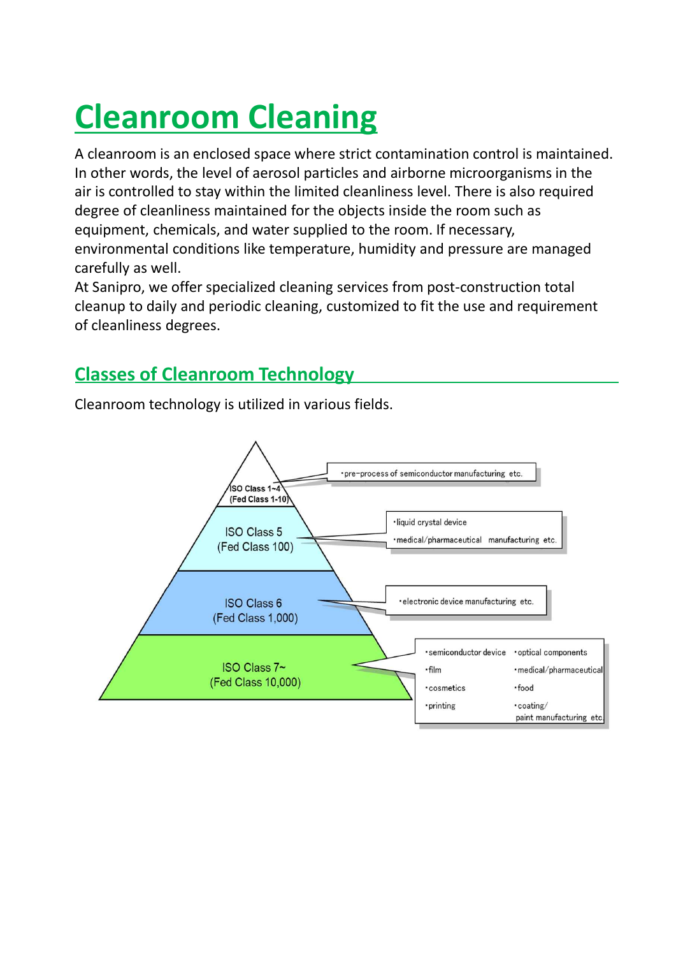# **Cleanroom Cleaning**

A cleanroom is an enclosed space where strict contamination control is maintained. In other words, the level of aerosol particles and airborne microorganisms in the air is controlled to stay within the limited cleanliness level. There is also required degree of cleanliness maintained for the objects inside the room such as equipment, chemicals, and water supplied to the room. If necessary, environmental conditions like temperature, humidity and pressure are managed carefully as well.

At Sanipro, we offer specialized cleaning services from post-construction total cleanup to daily and periodic cleaning, customized to fit the use and requirement of cleanliness degrees.

### **Classes of Cleanroom Technology**

Cleanroom technology is utilized in various fields.

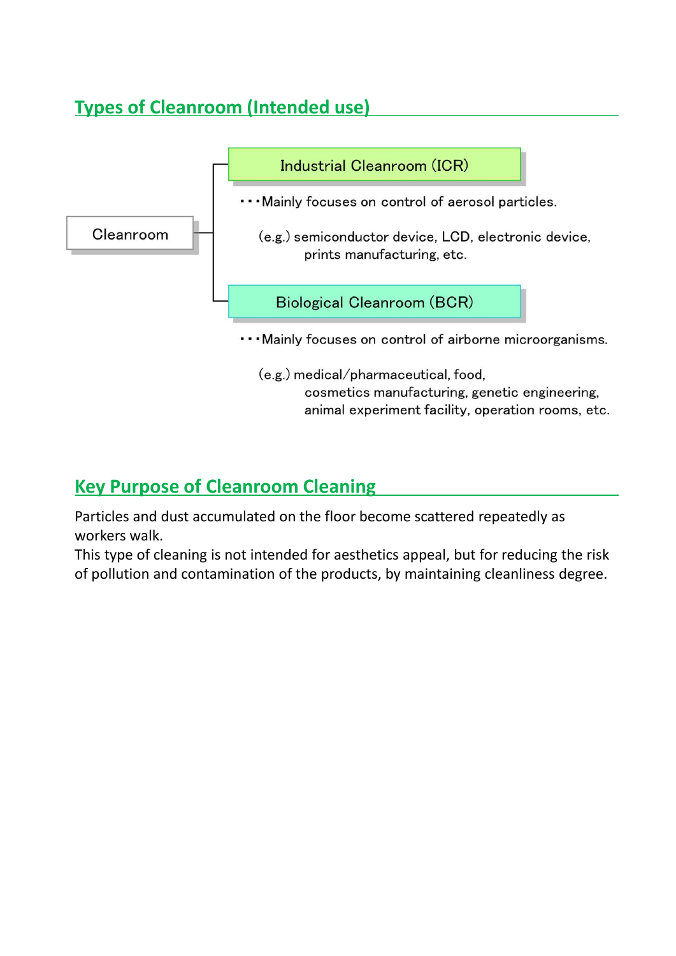## **Types of Cleanroom (Intended use)**



#### **Key Purpose of Cleanroom Cleaning**

Particles and dust accumulated on the floor become scattered repeatedly as workers walk.

This type of cleaning is not intended for aesthetics appeal, but for reducing the risk of pollution and contamination of the products, by maintaining cleanliness degree.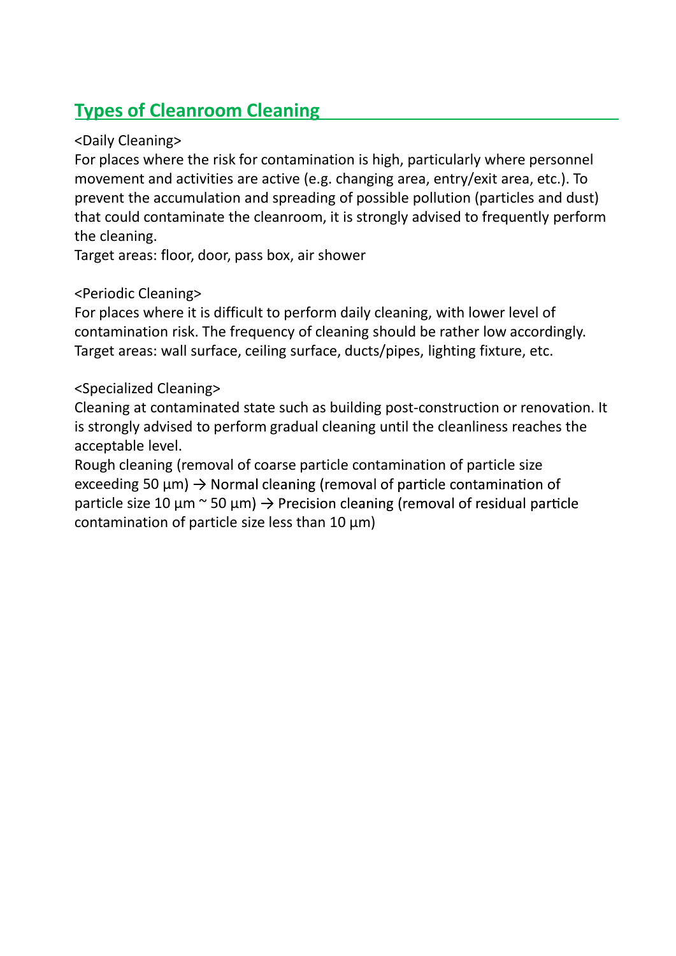## **Types of Cleanroom Cleaning**

#### <Daily Cleaning>

For places where the risk for contamination is high, particularly where personnel movement and activities are active (e.g. changing area, entry/exit area, etc.). To prevent the accumulation and spreading of possible pollution (particles and dust) that could contaminate the cleanroom, it is strongly advised to frequently perform the cleaning.

Target areas: floor, door, pass box, air shower

#### <Periodic Cleaning>

For places where it is difficult to perform daily cleaning, with lower level of contamination risk. The frequency of cleaning should be rather low accordingly. Target areas: wall surface, ceiling surface, ducts/pipes, lighting fixture, etc.

#### <Specialized Cleaning>

Cleaning at contaminated state such as building post-construction or renovation. It is strongly advised to perform gradual cleaning until the cleanliness reaches the acceptable level.

Rough cleaning (removal of coarse particle contamination of particle size exceeding 50  $\mu$ m)  $\rightarrow$  Normal cleaning (removal of particle contamination of particle size 10  $\mu$ m ~ 50  $\mu$ m)  $\rightarrow$  Precision cleaning (removal of residual particle contamination of particle size less than 10 μm)